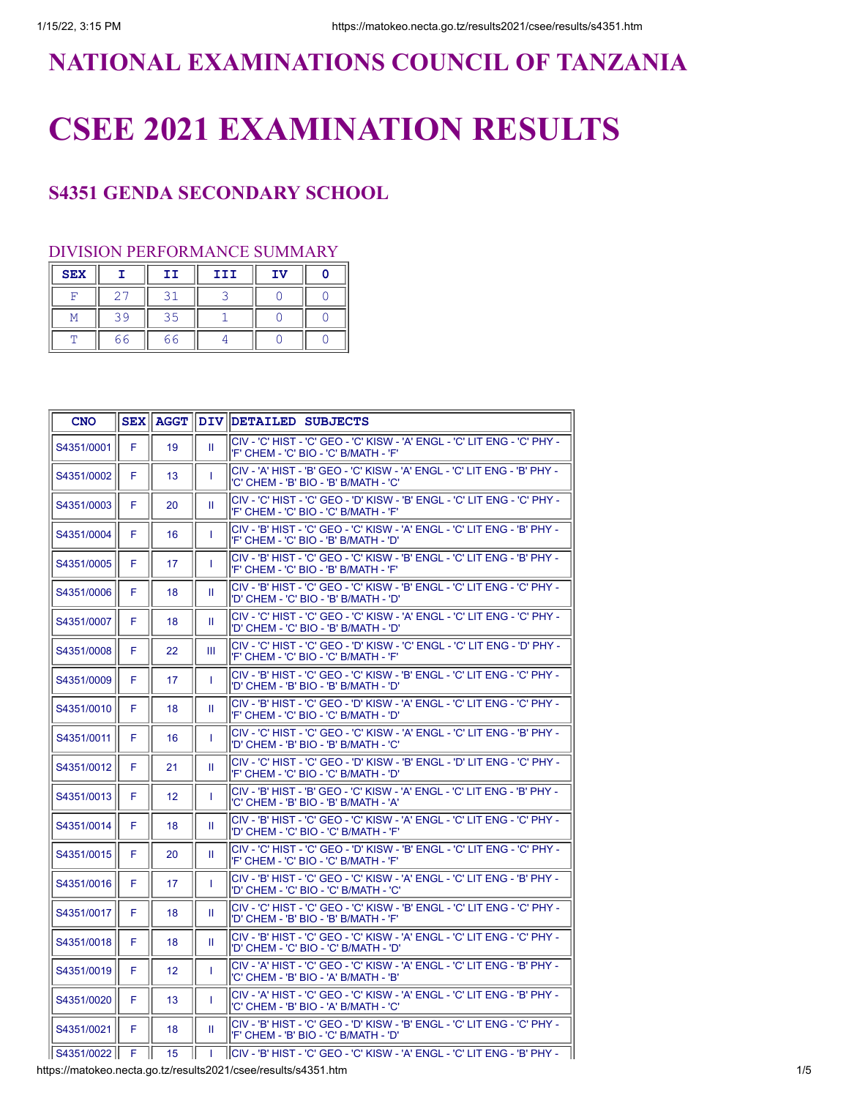# **NATIONAL EXAMINATIONS COUNCIL OF TANZANIA**

# **CSEE 2021 EXAMINATION RESULTS**

## **S4351 GENDA SECONDARY SCHOOL**

### DIVISION PERFORMANCE SUMMARY

| <b>SEX</b> |    | IΙ | III | IV |  |
|------------|----|----|-----|----|--|
| ⋤          |    |    |     |    |  |
|            | 30 | २५ |     |    |  |
| π          | 66 | 66 |     |    |  |

| <b>CNO</b>     |    |                 |              | SEX AGGT DIV DETAILED SUBJECTS                                                                                     |
|----------------|----|-----------------|--------------|--------------------------------------------------------------------------------------------------------------------|
| S4351/0001     | F. | 19              | Ш            | CIV - 'C' HIST - 'C' GEO - 'C' KISW - 'A' ENGL - 'C' LIT ENG - 'C' PHY -<br>'F' CHEM - 'C' BIO - 'C' B/MATH - 'F'  |
| S4351/0002     | F  | 13              | T            | CIV - 'A' HIST - 'B' GEO - 'C' KISW - 'A' ENGL - 'C' LIT ENG - 'B' PHY -<br>'C' CHEM - 'B' BIO - 'B' B/MATH - 'C'  |
| S4351/0003     | F  | 20              | Ш            | CIV - 'C' HIST - 'C' GEO - 'D' KISW - 'B' ENGL - 'C' LIT ENG - 'C' PHY -<br>'F' CHEM - 'C' BIO - 'C' B/MATH - 'F'  |
| S4351/0004     | F  | 16              | T            | CIV - 'B' HIST - 'C' GEO - 'C' KISW - 'A' ENGL - 'C' LIT ENG - 'B' PHY -<br>'F' CHEM - 'C' BIO - 'B' B/MATH - 'D'  |
| S4351/0005     | F  | 17              | T            | CIV - 'B' HIST - 'C' GEO - 'C' KISW - 'B' ENGL - 'C' LIT ENG - 'B' PHY -<br>'F' CHEM - 'C' BIO - 'B' B/MATH - 'F'  |
| S4351/0006     | F  | 18              | Ш            | CIV - 'B' HIST - 'C' GEO - 'C' KISW - 'B' ENGL - 'C' LIT ENG - 'C' PHY -<br>'D' CHEM - 'C' BIO - 'B' B/MATH - 'D'  |
| S4351/0007     | F  | 18              | Ш            | CIV - 'C' HIST - 'C' GEO - 'C' KISW - 'A' ENGL - 'C' LIT ENG - 'C' PHY -<br>'D' CHEM - 'C' BIO - 'B' B/MATH - 'D'  |
| S4351/0008     | F  | 22              | Ш            | CIV - 'C' HIST - 'C' GEO - 'D' KISW - 'C' ENGL - 'C' LIT ENG - 'D' PHY -<br>'F' CHEM - 'C' BIO - 'C' B/MATH - 'F'  |
| S4351/0009     | F  | 17              | T            | CIV - 'B' HIST - 'C' GEO - 'C' KISW - 'B' ENGL - 'C' LIT ENG - 'C' PHY -<br>'D' CHEM - 'B' BIO - 'B' B/MATH - 'D'  |
| S4351/0010     | F  | 18              | Ш            | CIV - 'B' HIST - 'C' GEO - 'D' KISW - 'A' ENGL - 'C' LIT ENG - 'C' PHY -<br>'F' CHEM - 'C' BIO - 'C' B/MATH - 'D'  |
| S4351/0011     | F  | 16              | T            | ICIV - 'C' HIST - 'C' GEO - 'C' KISW - 'A' ENGL - 'C' LIT ENG - 'B' PHY -<br>'D' CHEM - 'B' BIO - 'B' B/MATH - 'C' |
| S4351/0012     | F  | 21              | Ш            | lCIV - 'C' HIST - 'C' GEO - 'D' KISW - 'B' ENGL - 'D' LIT ENG - 'C' PHY -<br>'F' CHEM - 'C' BIO - 'C' B/MATH - 'D' |
| S4351/0013     | F  | 12 <sup>°</sup> | T            | CIV - 'B' HIST - 'B' GEO - 'C' KISW - 'A' ENGL - 'C' LIT ENG - 'B' PHY -<br>'C' CHEM - 'B' BIO - 'B' B/MATH - 'A'  |
| S4351/0014     | F  | 18              | Ш.           | CIV - 'B' HIST - 'C' GEO - 'C' KISW - 'A' ENGL - 'C' LIT ENG - 'C' PHY -<br>'D' CHEM - 'C' BIO - 'C' B/MATH - 'F'  |
| S4351/0015     | F  | 20              | Ш            | CIV - 'C' HIST - 'C' GEO - 'D' KISW - 'B' ENGL - 'C' LIT ENG - 'C' PHY -<br>'F' CHEM - 'C' BIO - 'C' B/MATH - 'F'  |
| S4351/0016     | F  | 17              | T            | CIV - 'B' HIST - 'C' GEO - 'C' KISW - 'A' ENGL - 'C' LIT ENG - 'B' PHY -<br>'D' CHEM - 'C' BIO - 'C' B/MATH - 'C'  |
| S4351/0017     | F  | 18              | Ш            | CIV - 'C' HIST - 'C' GEO - 'C' KISW - 'B' ENGL - 'C' LIT ENG - 'C' PHY -<br>'D' CHEM - 'B' BIO - 'B' B/MATH - 'F'  |
| S4351/0018     | F  | 18              | Ш            | CIV - 'B' HIST - 'C' GEO - 'C' KISW - 'A' ENGL - 'C' LIT ENG - 'C' PHY -<br>'D' CHEM - 'C' BIO - 'C' B/MATH - 'D'  |
| S4351/0019     | F  | 12              | $\mathbf{I}$ | CIV - 'A' HIST - 'C' GEO - 'C' KISW - 'A' ENGL - 'C' LIT ENG - 'B' PHY -<br>'C' CHEM - 'B' BIO - 'A' B/MATH - 'B'  |
| S4351/0020     | F  | 13              | T            | ICIV - 'A' HIST - 'C' GEO - 'C' KISW - 'A' ENGL - 'C' LIT ENG - 'B' PHY -<br>'C' CHEM - 'B' BIO - 'A' B/MATH - 'C' |
| S4351/0021     | F  | 18              | Ш            | CIV - 'B' HIST - 'C' GEO - 'D' KISW - 'B' ENGL - 'C' LIT ENG - 'C' PHY -<br>'F' CHEM - 'B' BIO - 'C' B/MATH - 'D'  |
| S4351/0022   F |    | 15              |              | İCIV - 'B' HIST - 'C' GEO - 'C' KISW - 'A' ENGL - 'C' LIT ENG - 'B' PHY -                                          |

https://matokeo.necta.go.tz/results2021/csee/results/s4351.htm 1/5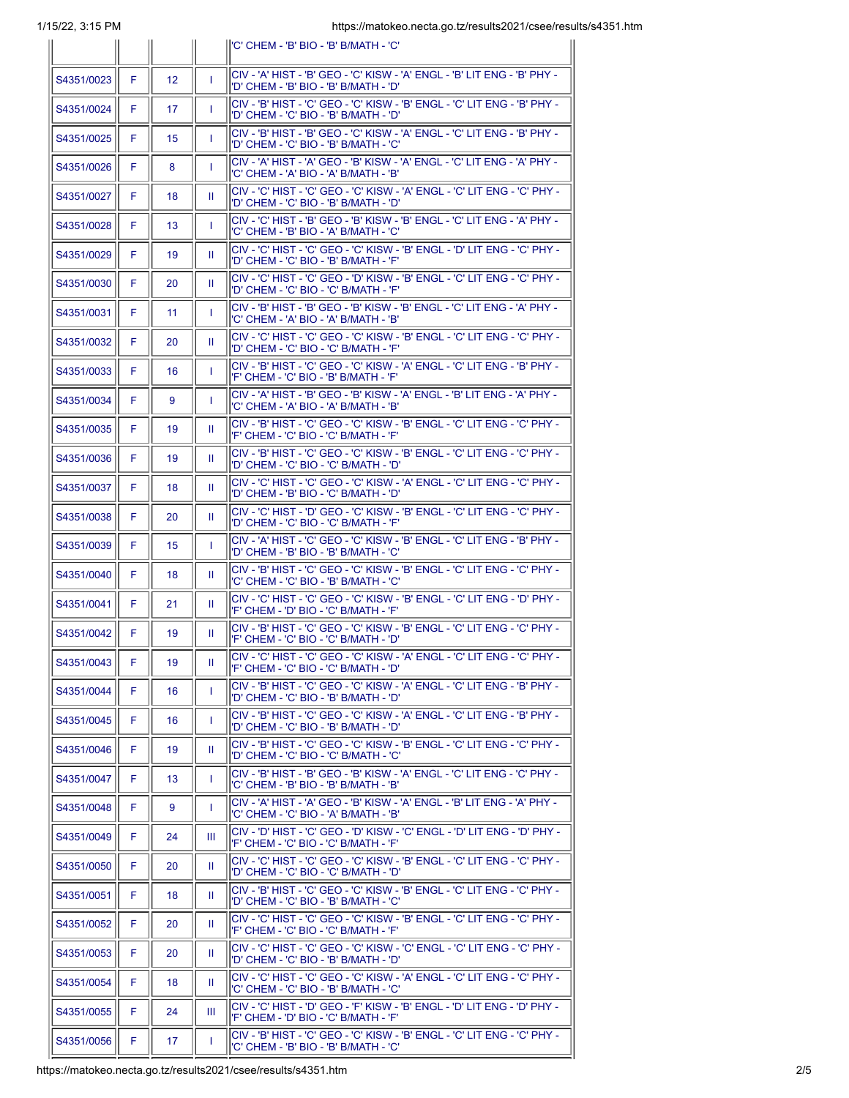|            |    |                 |    | l'C' CHEM - 'B' BIO - 'B' B/MATH - 'C'                                                                            |
|------------|----|-----------------|----|-------------------------------------------------------------------------------------------------------------------|
| S4351/0023 | F  | 12 <sup>2</sup> | T  | CIV - 'A' HIST - 'B' GEO - 'C' KISW - 'A' ENGL - 'B' LIT ENG - 'B' PHY -<br>'D' CHEM - 'B' BIO - 'B' B/MATH - 'D' |
| S4351/0024 | F  | 17              | T  | CIV - 'B' HIST - 'C' GEO - 'C' KISW - 'B' ENGL - 'C' LIT ENG - 'B' PHY -<br>'D' CHEM - 'C' BIO - 'B' B/MATH - 'D' |
| S4351/0025 | F  | 15              | T  | CIV - 'B' HIST - 'B' GEO - 'C' KISW - 'A' ENGL - 'C' LIT ENG - 'B' PHY -<br>'D' CHEM - 'C' BIO - 'B' B/MATH - 'C' |
| S4351/0026 | F  | 8               | T  | CIV - 'A' HIST - 'A' GEO - 'B' KISW - 'A' ENGL - 'C' LIT ENG - 'A' PHY -<br>'C' CHEM - 'A' BIO - 'A' B/MATH - 'B' |
| S4351/0027 | F  | 18              | Ш  | CIV - 'C' HIST - 'C' GEO - 'C' KISW - 'A' ENGL - 'C' LIT ENG - 'C' PHY -<br>'D' CHEM - 'C' BIO - 'B' B/MATH - 'D' |
| S4351/0028 | F  | 13              | T  | CIV - 'C' HIST - 'B' GEO - 'B' KISW - 'B' ENGL - 'C' LIT ENG - 'A' PHY -<br>'C' CHEM - 'B' BIO - 'A' B/MATH - 'C' |
| S4351/0029 | F  | 19              | H. | CIV - 'C' HIST - 'C' GEO - 'C' KISW - 'B' ENGL - 'D' LIT ENG - 'C' PHY -<br>'D' CHEM - 'C' BIO - 'B' B/MATH - 'F' |
| S4351/0030 | F  | 20              | Ш  | CIV - 'C' HIST - 'C' GEO - 'D' KISW - 'B' ENGL - 'C' LIT ENG - 'C' PHY -<br>'D' CHEM - 'C' BIO - 'C' B/MATH - 'F' |
| S4351/0031 | F  | 11              | T  | CIV - 'B' HIST - 'B' GEO - 'B' KISW - 'B' ENGL - 'C' LIT ENG - 'A' PHY -<br>'C' CHEM - 'A' BIO - 'A' B/MATH - 'B' |
| S4351/0032 | F  | 20              | Ш  | CIV - 'C' HIST - 'C' GEO - 'C' KISW - 'B' ENGL - 'C' LIT ENG - 'C' PHY -<br>'D' CHEM - 'C' BIO - 'C' B/MATH - 'F' |
| S4351/0033 | F. | 16              | T  | CIV - 'B' HIST - 'C' GEO - 'C' KISW - 'A' ENGL - 'C' LIT ENG - 'B' PHY -<br>'F' CHEM - 'C' BIO - 'B' B/MATH - 'F' |
| S4351/0034 | F  | 9               | T  | CIV - 'A' HIST - 'B' GEO - 'B' KISW - 'A' ENGL - 'B' LIT ENG - 'A' PHY -<br>'C' CHEM - 'A' BIO - 'A' B/MATH - 'B' |
| S4351/0035 | F  | 19              | Ш  | CIV - 'B' HIST - 'C' GEO - 'C' KISW - 'B' ENGL - 'C' LIT ENG - 'C' PHY -<br>'F' CHEM - 'C' BIO - 'C' B/MATH - 'F' |
| S4351/0036 | F  | 19              | Ш  | CIV - 'B' HIST - 'C' GEO - 'C' KISW - 'B' ENGL - 'C' LIT ENG - 'C' PHY -<br>'D' CHEM - 'C' BIO - 'C' B/MATH - 'D' |
| S4351/0037 | F. | 18              | Ш  | CIV - 'C' HIST - 'C' GEO - 'C' KISW - 'A' ENGL - 'C' LIT ENG - 'C' PHY -<br>'D' CHEM - 'B' BIO - 'C' B/MATH - 'D' |
| S4351/0038 | F  | 20              | Ш  | CIV - 'C' HIST - 'D' GEO - 'C' KISW - 'B' ENGL - 'C' LIT ENG - 'C' PHY -<br>'D' CHEM - 'C' BIO - 'C' B/MATH - 'F' |
| S4351/0039 | F  | 15              | T  | CIV - 'A' HIST - 'C' GEO - 'C' KISW - 'B' ENGL - 'C' LIT ENG - 'B' PHY -<br>'D' CHEM - 'B' BIO - 'B' B/MATH - 'C' |
| S4351/0040 | F  | 18              | Ш  | CIV - 'B' HIST - 'C' GEO - 'C' KISW - 'B' ENGL - 'C' LIT ENG - 'C' PHY -<br>'C' CHEM - 'C' BIO - 'B' B/MATH - 'C' |
| S4351/0041 | F. | 21              | Ш  | CIV - 'C' HIST - 'C' GEO - 'C' KISW - 'B' ENGL - 'C' LIT ENG - 'D' PHY -<br>'F' CHEM - 'D' BIO - 'C' B/MATH - 'F' |
| S4351/0042 | F. | 19              | Ш  | CIV - 'B' HIST - 'C' GEO - 'C' KISW - 'B' ENGL - 'C' LIT ENG - 'C' PHY -<br>'F' CHEM - 'C' BIO - 'C' B/MATH - 'D' |
| S4351/0043 | F. | 19              | Ш. | CIV - 'C' HIST - 'C' GEO - 'C' KISW - 'A' ENGL - 'C' LIT ENG - 'C' PHY -<br>'F' CHEM - 'C' BIO - 'C' B/MATH - 'D' |
| S4351/0044 | F. | 16              | T. | CIV - 'B' HIST - 'C' GEO - 'C' KISW - 'A' ENGL - 'C' LIT ENG - 'B' PHY -<br>'D' CHEM - 'C' BIO - 'B' B/MATH - 'D' |
| S4351/0045 | F  | 16              | L  | CIV - 'B' HIST - 'C' GEO - 'C' KISW - 'A' ENGL - 'C' LIT ENG - 'B' PHY -<br>'D' CHEM - 'C' BIO - 'B' B/MATH - 'D' |
| S4351/0046 | F  | 19              | Ш  | CIV - 'B' HIST - 'C' GEO - 'C' KISW - 'B' ENGL - 'C' LIT ENG - 'C' PHY -<br>'D' CHEM - 'C' BIO - 'C' B/MATH - 'C' |
| S4351/0047 | F  | 13 <sup>°</sup> | L  | CIV - 'B' HIST - 'B' GEO - 'B' KISW - 'A' ENGL - 'C' LIT ENG - 'C' PHY -<br>'C' CHEM - 'B' BIO - 'B' B/MATH - 'B' |
| S4351/0048 | F. | 9               | L  | CIV - 'A' HIST - 'A' GEO - 'B' KISW - 'A' ENGL - 'B' LIT ENG - 'A' PHY -<br>'C' CHEM - 'C' BIO - 'A' B/MATH - 'B' |
| S4351/0049 | F  | 24              | Ш  | CIV - 'D' HIST - 'C' GEO - 'D' KISW - 'C' ENGL - 'D' LIT ENG - 'D' PHY -<br>'F' CHEM - 'C' BIO - 'C' B/MATH - 'F' |
| S4351/0050 | F  | 20              | Ш  | CIV - 'C' HIST - 'C' GEO - 'C' KISW - 'B' ENGL - 'C' LIT ENG - 'C' PHY -<br>'D' CHEM - 'C' BIO - 'C' B/MATH - 'D' |
| S4351/0051 | F  | 18              | H. | CIV - 'B' HIST - 'C' GEO - 'C' KISW - 'B' ENGL - 'C' LIT ENG - 'C' PHY -<br>'D' CHEM - 'C' BIO - 'B' B/MATH - 'C' |
| S4351/0052 | F. | 20              | Ш  | CIV - 'C' HIST - 'C' GEO - 'C' KISW - 'B' ENGL - 'C' LIT ENG - 'C' PHY -<br>'F' CHEM - 'C' BIO - 'C' B/MATH - 'F' |
| S4351/0053 | F  | 20              | Ш  | CIV - 'C' HIST - 'C' GEO - 'C' KISW - 'C' ENGL - 'C' LIT ENG - 'C' PHY -<br>'D' CHEM - 'C' BIO - 'B' B/MATH - 'D' |
| S4351/0054 | F  | 18              | Ш  | CIV - 'C' HIST - 'C' GEO - 'C' KISW - 'A' ENGL - 'C' LIT ENG - 'C' PHY -<br>'C' CHEM - 'C' BIO - 'B' B/MATH - 'C' |
| S4351/0055 | F  | 24              | Ш  | CIV - 'C' HIST - 'D' GEO - 'F' KISW - 'B' ENGL - 'D' LIT ENG - 'D' PHY -<br>'F' CHEM - 'D' BIO - 'C' B/MATH - 'F' |
| S4351/0056 | F  | 17              | L  | CIV - 'B' HIST - 'C' GEO - 'C' KISW - 'B' ENGL - 'C' LIT ENG - 'C' PHY -<br>'C' CHEM - 'B' BIO - 'B' B/MATH - 'C' |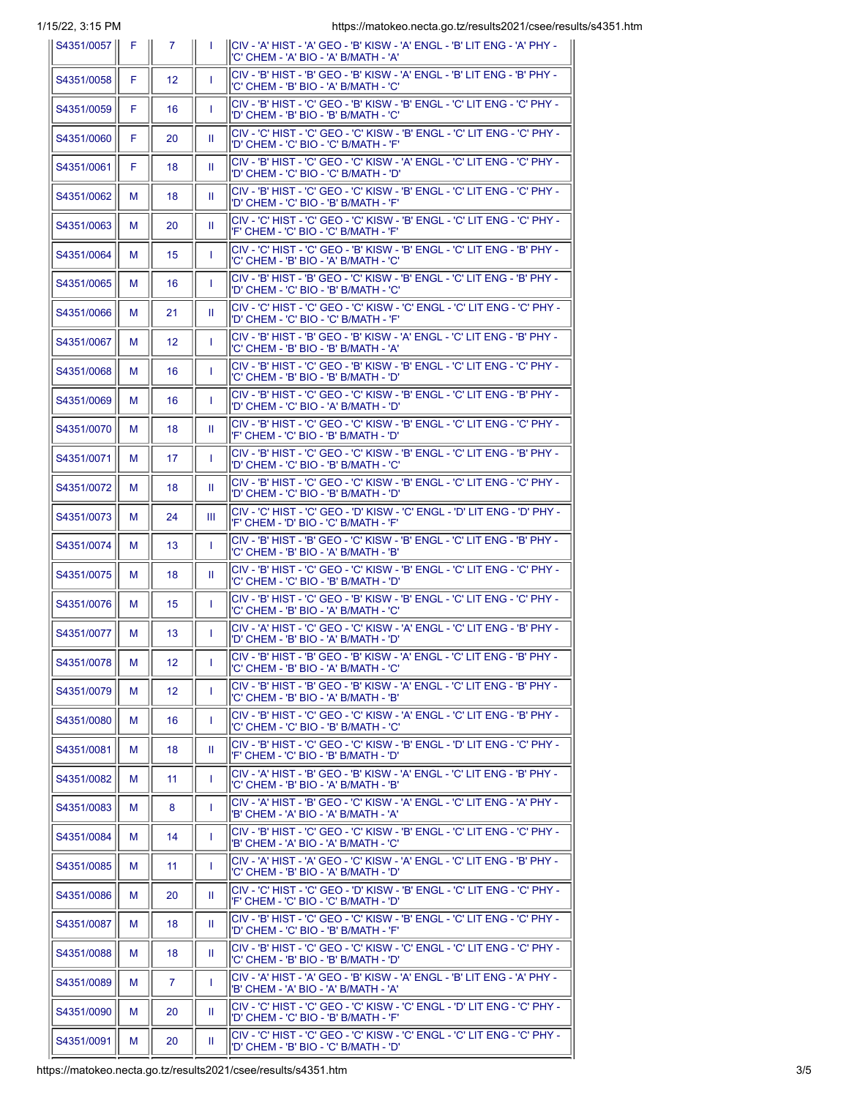1/15/22, 3:15 PM https://matokeo.necta.go.tz/results2021/csee/results/s4351.htm

| S4351/0057 | - F. | 7               | $\mathbf{L}$ | CIV - 'A' HIST - 'A' GEO - 'B' KISW - 'A' ENGL - 'B' LIT ENG - 'A' PHY -<br>'C' CHEM - 'A' BIO - 'A' B/MATH - 'A'  |
|------------|------|-----------------|--------------|--------------------------------------------------------------------------------------------------------------------|
| S4351/0058 | F.   | $12 \,$         | т.           | CIV - 'B' HIST - 'B' GEO - 'B' KISW - 'A' ENGL - 'B' LIT ENG - 'B' PHY -<br>'C' CHEM - 'B' BIO - 'A' B/MATH - 'C'  |
| S4351/0059 | F    | 16              | T            | CIV - 'B' HIST - 'C' GEO - 'B' KISW - 'B' ENGL - 'C' LIT ENG - 'C' PHY -<br>'D' CHEM - 'B' BIO - 'B' B/MATH - 'C'  |
| S4351/0060 | F.   | 20              | Ш            | CIV - 'C' HIST - 'C' GEO - 'C' KISW - 'B' ENGL - 'C' LIT ENG - 'C' PHY -<br>'D' CHEM - 'C' BIO - 'C' B/MATH - 'F'  |
| S4351/0061 | F    | 18              | Ш            | CIV - 'B' HIST - 'C' GEO - 'C' KISW - 'A' ENGL - 'C' LIT ENG - 'C' PHY -<br>'D' CHEM - 'C' BIO - 'C' B/MATH - 'D'  |
| S4351/0062 | м    | 18              | Ш            | ICIV - 'B' HIST - 'C' GEO - 'C' KISW - 'B' ENGL - 'C' LIT ENG - 'C' PHY -<br>'D' CHEM - 'C' BIO - 'B' B/MATH - 'F' |
| S4351/0063 | м    | 20              | Ш            | CIV - 'C' HIST - 'C' GEO - 'C' KISW - 'B' ENGL - 'C' LIT ENG - 'C' PHY -<br>'F' CHEM - 'C' BIO - 'C' B/MATH - 'F'  |
| S4351/0064 | м    | 15              | T            | CIV - 'C' HIST - 'C' GEO - 'B' KISW - 'B' ENGL - 'C' LIT ENG - 'B' PHY -<br>'C' CHEM - 'B' BIO - 'A' B/MATH - 'C'  |
| S4351/0065 | м    | 16              | T            | CIV - 'B' HIST - 'B' GEO - 'C' KISW - 'B' ENGL - 'C' LIT ENG - 'B' PHY -<br>'D' CHEM - 'C' BIO - 'B' B/MATH - 'C'  |
| S4351/0066 | м    | 21              | Ш.           | CIV - 'C' HIST - 'C' GEO - 'C' KISW - 'C' ENGL - 'C' LIT ENG - 'C' PHY -<br>'D' CHEM - 'C' BIO - 'C' B/MATH - 'F'  |
| S4351/0067 | м    | 12 <sup>2</sup> | T            | CIV - 'B' HIST - 'B' GEO - 'B' KISW - 'A' ENGL - 'C' LIT ENG - 'B' PHY -<br>'C' CHEM - 'B' BIO - 'B' B/MATH - 'A'  |
| S4351/0068 | м    | 16              | T            | CIV - 'B' HIST - 'C' GEO - 'B' KISW - 'B' ENGL - 'C' LIT ENG - 'C' PHY -<br>'C' CHEM - 'B' BIO - 'B' B/MATH - 'D'  |
| S4351/0069 | м    | 16              | T            | CIV - 'B' HIST - 'C' GEO - 'C' KISW - 'B' ENGL - 'C' LIT ENG - 'B' PHY -<br>'D' CHEM - 'C' BIO - 'A' B/MATH - 'D'  |
| S4351/0070 | м    | 18              | Ш            | ICIV - 'B' HIST - 'C' GEO - 'C' KISW - 'B' ENGL - 'C' LIT ENG - 'C' PHY -<br>'F' CHEM - 'C' BIO - 'B' B/MATH - 'D' |
| S4351/0071 | м    | 17              | T            | CIV - 'B' HIST - 'C' GEO - 'C' KISW - 'B' ENGL - 'C' LIT ENG - 'B' PHY -<br>'D' CHEM - 'C' BIO - 'B' B/MATH - 'C'  |
| S4351/0072 | м    | 18              | Ш            | CIV - 'B' HIST - 'C' GEO - 'C' KISW - 'B' ENGL - 'C' LIT ENG - 'C' PHY -<br>"D' CHEM - 'C' BIO - 'B' B/MATH - 'D'  |
| S4351/0073 | м    | 24              | Ш            | lCIV - 'C' HIST - 'C' GEO - 'D' KISW - 'C' ENGL - 'D' LIT ENG - 'D' PHY -<br>'F' CHEM - 'D' BIO - 'C' B/MATH - 'F' |
| S4351/0074 | м    | 13              | T            | CIV - 'B' HIST - 'B' GEO - 'C' KISW - 'B' ENGL - 'C' LIT ENG - 'B' PHY -<br>'C' CHEM - 'B' BIO - 'A' B/MATH - 'B'  |
| S4351/0075 | м    | 18              | Ш            | CIV - 'B' HIST - 'C' GEO - 'C' KISW - 'B' ENGL - 'C' LIT ENG - 'C' PHY -<br>'C' CHEM - 'C' BIO - 'B' B/MATH - 'D'  |
| S4351/0076 | м    | 15              | T            | CIV - 'B' HIST - 'C' GEO - 'B' KISW - 'B' ENGL - 'C' LIT ENG - 'C' PHY -<br>'C' CHEM - 'B' BIO - 'A' B/MATH - 'C'  |
| S4351/0077 | м    | 13              | T            | CIV - 'A' HIST - 'C' GEO - 'C' KISW - 'A' ENGL - 'C' LIT ENG - 'B' PHY -<br>'D' CHEM - 'B' BIO - 'A' B/MATH - 'D'  |
| S4351/0078 | м    | 12 <sup>2</sup> | T            | CIV - 'B' HIST - 'B' GEO - 'B' KISW - 'A' ENGL - 'C' LIT ENG - 'B' PHY -<br>'C' CHEM - 'B' BIO - 'A' B/MATH - 'C'  |
| S4351/0079 | М    | 12 <sup>2</sup> | T            | CIV - 'B' HIST - 'B' GEO - 'B' KISW - 'A' ENGL - 'C' LIT ENG - 'B' PHY -<br>'C' CHEM - 'B' BIO - 'A' B/MATH - 'B'  |
| S4351/0080 | М    | 16              | T            | CIV - 'B' HIST - 'C' GEO - 'C' KISW - 'A' ENGL - 'C' LIT ENG - 'B' PHY -<br>'C' CHEM - 'C' BIO - 'B' B/MATH - 'C'  |
| S4351/0081 | М    | 18              | Ш            | CIV - 'B' HIST - 'C' GEO - 'C' KISW - 'B' ENGL - 'D' LIT ENG - 'C' PHY -<br>'F' CHEM - 'C' BIO - 'B' B/MATH - 'D'  |
| S4351/0082 | М    | 11              | T            | CIV - 'A' HIST - 'B' GEO - 'B' KISW - 'A' ENGL - 'C' LIT ENG - 'B' PHY -<br>'C' CHEM - 'B' BIO - 'A' B/MATH - 'B'  |
| S4351/0083 | М    | 8               | T            | CIV - 'A' HIST - 'B' GEO - 'C' KISW - 'A' ENGL - 'C' LIT ENG - 'A' PHY -<br>'B' CHEM - 'A' BIO - 'A' B/MATH - 'A'  |
| S4351/0084 | М    | 14              | T            | CIV - 'B' HIST - 'C' GEO - 'C' KISW - 'B' ENGL - 'C' LIT ENG - 'C' PHY -<br>'B' CHEM - 'A' BIO - 'A' B/MATH - 'C'  |
| S4351/0085 | М    | 11              | T            | CIV - 'A' HIST - 'A' GEO - 'C' KISW - 'A' ENGL - 'C' LIT ENG - 'B' PHY -<br>'C' CHEM - 'B' BIO - 'A' B/MATH - 'D'  |
| S4351/0086 | М    | 20              | Ш            | CIV - 'C' HIST - 'C' GEO - 'D' KISW - 'B' ENGL - 'C' LIT ENG - 'C' PHY -<br>'F' CHEM - 'C' BIO - 'C' B/MATH - 'D'  |
| S4351/0087 | М    | 18              | Ш            | CIV - 'B' HIST - 'C' GEO - 'C' KISW - 'B' ENGL - 'C' LIT ENG - 'C' PHY -<br>'D' CHEM - 'C' BIO - 'B' B/MATH - 'F'  |
| S4351/0088 | М    | 18              | Ш.           | CIV - 'B' HIST - 'C' GEO - 'C' KISW - 'C' ENGL - 'C' LIT ENG - 'C' PHY -<br>'C' CHEM - 'B' BIO - 'B' B/MATH - 'D'  |
| S4351/0089 | М    | $\mathbf{7}$    | T            | CIV - 'A' HIST - 'A' GEO - 'B' KISW - 'A' ENGL - 'B' LIT ENG - 'A' PHY -<br>'B' CHEM - 'A' BIO - 'A' B/MATH - 'A'  |
| S4351/0090 | М    | 20              | Ш            | CIV - 'C' HIST - 'C' GEO - 'C' KISW - 'C' ENGL - 'D' LIT ENG - 'C' PHY -<br>'D' CHEM - 'C' BIO - 'B' B/MATH - 'F'  |
| S4351/0091 | М    | 20              | Ш.           | CIV - 'C' HIST - 'C' GEO - 'C' KISW - 'C' ENGL - 'C' LIT ENG - 'C' PHY -<br>'D' CHEM - 'B' BIO - 'C' B/MATH - 'D'  |
|            |      |                 |              |                                                                                                                    |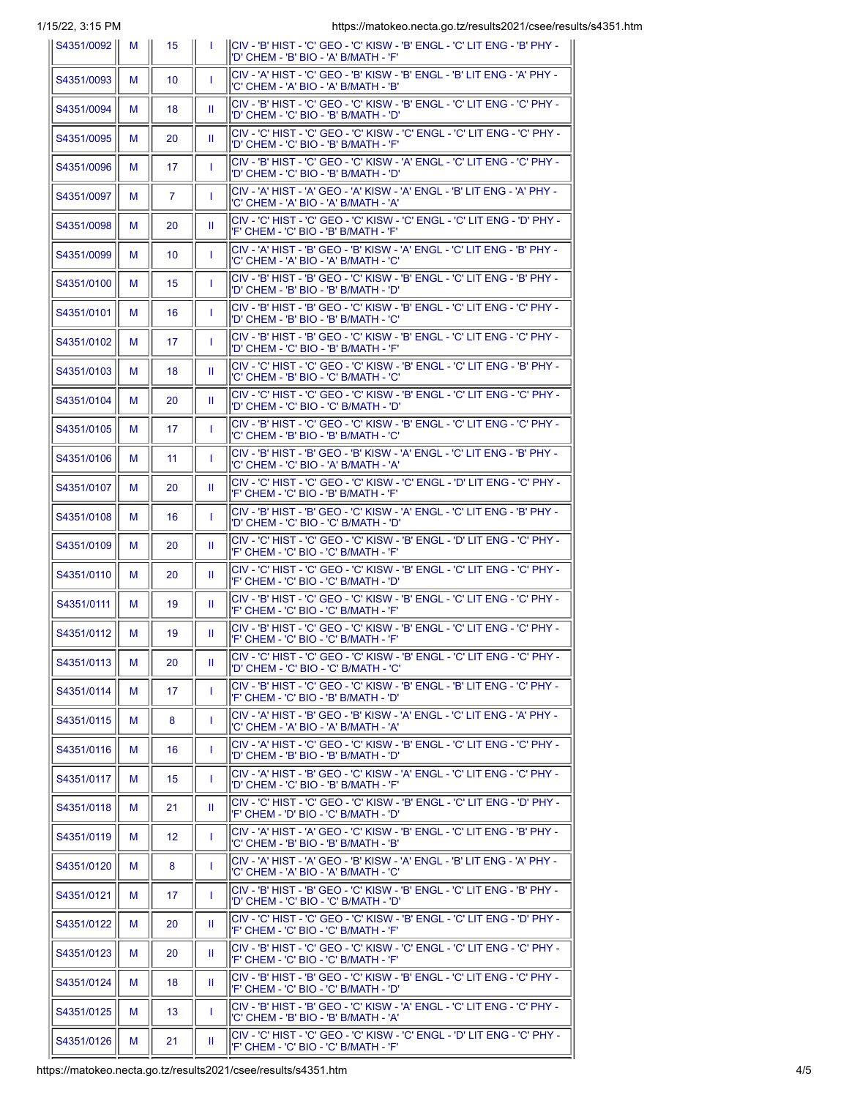1/15/22, 3:15 PM https://matokeo.necta.go.tz/results2021/csee/results/s4351.htm

| 10122, 0.1011<br>   S4351/0092 | M | 15               | -1 | 11000.111110101100.110010.00.00.10001102021100<br>CIV - 'B' HIST - 'C' GEO - 'C' KISW - 'B' ENGL - 'C' LIT ENG - 'B' PHY -<br>'D' CHEM - 'B' BIO - 'A' B/MATH - 'F' |
|--------------------------------|---|------------------|----|---------------------------------------------------------------------------------------------------------------------------------------------------------------------|
| S4351/0093                     | м | 10 <sup>°</sup>  | л. | CIV - 'A' HIST - 'C' GEO - 'B' KISW - 'B' ENGL - 'B' LIT ENG - 'A' PHY -<br>'C' CHEM - 'A' BIO - 'A' B/MATH - 'B'                                                   |
| S4351/0094                     | м | 18               | Ш  | CIV - 'B' HIST - 'C' GEO - 'C' KISW - 'B' ENGL - 'C' LIT ENG - 'C' PHY -<br>'D' CHEM - 'C' BIO - 'B' B/MATH - 'D'                                                   |
| S4351/0095                     | м | 20               | Ш  | CIV - 'C' HIST - 'C' GEO - 'C' KISW - 'C' ENGL - 'C' LIT ENG - 'C' PHY -<br>'D' CHEM - 'C' BIO - 'B' B/MATH - 'F'                                                   |
| S4351/0096                     | м | 17               | T  | CIV - 'B' HIST - 'C' GEO - 'C' KISW - 'A' ENGL - 'C' LIT ENG - 'C' PHY -<br>'D' CHEM - 'C' BIO - 'B' B/MATH - 'D'                                                   |
| S4351/0097                     | м | $\overline{7}$   | т. | CIV - 'A' HIST - 'A' GEO - 'A' KISW - 'A' ENGL - 'B' LIT ENG - 'A' PHY -<br>'C' CHEM - 'A' BIO - 'A' B/MATH - 'A'                                                   |
| S4351/0098                     | м | 20               | Ш  | CIV - 'C' HIST - 'C' GEO - 'C' KISW - 'C' ENGL - 'C' LIT ENG - 'D' PHY -<br>'F' CHEM - 'C' BIO - 'B' B/MATH - 'F'                                                   |
| S4351/0099                     | м | 10 <sup>°</sup>  | T  | CIV - 'A' HIST - 'B' GEO - 'B' KISW - 'A' ENGL - 'C' LIT ENG - 'B' PHY -<br>'C' CHEM - 'A' BIO - 'A' B/MATH - 'C'                                                   |
| S4351/0100                     | м | 15 <sup>15</sup> | T  | CIV - 'B' HIST - 'B' GEO - 'C' KISW - 'B' ENGL - 'C' LIT ENG - 'B' PHY -<br>'D' CHEM - 'B' BIO - 'B' B/MATH - 'D'                                                   |
| S4351/0101                     | м | 16               | Т. | CIV - 'B' HIST - 'B' GEO - 'C' KISW - 'B' ENGL - 'C' LIT ENG - 'C' PHY -<br>'D' CHEM - 'B' BIO - 'B' B/MATH - 'C'                                                   |
| S4351/0102                     | м | 17               | T  | CIV - 'B' HIST - 'B' GEO - 'C' KISW - 'B' ENGL - 'C' LIT ENG - 'C' PHY -<br>'D' CHEM - 'C' BIO - 'B' B/MATH - 'F'                                                   |
| S4351/0103                     | м | 18               | Ш  | CIV - 'C' HIST - 'C' GEO - 'C' KISW - 'B' ENGL - 'C' LIT ENG - 'B' PHY -<br>'C' CHEM - 'B' BIO - 'C' B/MATH - 'C'                                                   |
| S4351/0104                     | м | 20               | Ш  | CIV - 'C' HIST - 'C' GEO - 'C' KISW - 'B' ENGL - 'C' LIT ENG - 'C' PHY -<br>'D' CHEM - 'C' BIO - 'C' B/MATH - 'D'                                                   |
| S4351/0105                     | м | 17               | т. | CIV - 'B' HIST - 'C' GEO - 'C' KISW - 'B' ENGL - 'C' LIT ENG - 'C' PHY -<br>'C' CHEM - 'B' BIO - 'B' B/MATH - 'C'                                                   |
| S4351/0106                     | м | 11               | T  | CIV - 'B' HIST - 'B' GEO - 'B' KISW - 'A' ENGL - 'C' LIT ENG - 'B' PHY -<br>'C' CHEM - 'C' BIO - 'A' B/MATH - 'A'                                                   |
| S4351/0107                     | м | 20               | Ш  | CIV - 'C' HIST - 'C' GEO - 'C' KISW - 'C' ENGL - 'D' LIT ENG - 'C' PHY -<br>'F' CHEM - 'C' BIO - 'B' B/MATH - 'F'                                                   |
| S4351/0108                     | м | 16               | T  | CIV - 'B' HIST - 'B' GEO - 'C' KISW - 'A' ENGL - 'C' LIT ENG - 'B' PHY -<br>'D' CHEM - 'C' BIO - 'C' B/MATH - 'D'                                                   |
| S4351/0109                     | м | 20               | Ш  | CIV - 'C' HIST - 'C' GEO - 'C' KISW - 'B' ENGL - 'D' LIT ENG - 'C' PHY -<br>'F' CHEM - 'C' BIO - 'C' B/MATH - 'F'                                                   |
| S4351/0110                     | м | 20               | Ш  | CIV - 'C' HIST - 'C' GEO - 'C' KISW - 'B' ENGL - 'C' LIT ENG - 'C' PHY -<br>'F' CHEM - 'C' BIO - 'C' B/MATH - 'D'                                                   |
| S4351/0111                     | м | 19               | Ш  | CIV - 'B' HIST - 'C' GEO - 'C' KISW - 'B' ENGL - 'C' LIT ENG - 'C' PHY -<br>'F' CHEM - 'C' BIO - 'C' B/MATH - 'F'                                                   |
| S4351/0112                     | м | 19               | Ш  | CIV - 'B' HIST - 'C' GEO - 'C' KISW - 'B' ENGL - 'C' LIT ENG - 'C' PHY -<br>'F' CHEM - 'C' BIO - 'C' B/MATH - 'F'                                                   |
| S4351/0113                     | м | 20               | Ш  | CIV - 'C' HIST - 'C' GEO - 'C' KISW - 'B' ENGL - 'C' LIT ENG - 'C' PHY -<br>'D' CHEM - 'C' BIO - 'C' B/MATH - 'C'                                                   |
| S4351/0114                     | м | 17               | T  | CIV - 'B' HIST - 'C' GEO - 'C' KISW - 'B' ENGL - 'B' LIT ENG - 'C' PHY -<br>'F' CHEM - 'C' BIO - 'B' B/MATH - 'D'                                                   |
| S4351/0115                     | M | 8                | T  | CIV - 'A' HIST - 'B' GEO - 'B' KISW - 'A' ENGL - 'C' LIT ENG - 'A' PHY -<br>'C' CHEM - 'A' BIO - 'A' B/MATH - 'A'                                                   |
| S4351/0116                     | м | 16               | T  | CIV - 'A' HIST - 'C' GEO - 'C' KISW - 'B' ENGL - 'C' LIT ENG - 'C' PHY -<br>'D' CHEM - 'B' BIO - 'B' B/MATH - 'D'                                                   |
| S4351/0117                     | M | 15 <sub>15</sub> | T  | CIV - 'A' HIST - 'B' GEO - 'C' KISW - 'A' ENGL - 'C' LIT ENG - 'C' PHY -<br>'D' CHEM - 'C' BIO - 'B' B/MATH - 'F'                                                   |
| S4351/0118                     | м | 21               | Ш  | CIV - 'C' HIST - 'C' GEO - 'C' KISW - 'B' ENGL - 'C' LIT ENG - 'D' PHY -<br>'F' CHEM - 'D' BIO - 'C' B/MATH - 'D'                                                   |
| S4351/0119                     | M | 12 <sup>2</sup>  | T  | CIV - 'A' HIST - 'A' GEO - 'C' KISW - 'B' ENGL - 'C' LIT ENG - 'B' PHY -<br>'C' CHEM - 'B' BIO - 'B' B/MATH - 'B'                                                   |
| S4351/0120                     | м | 8                | T  | CIV - 'A' HIST - 'A' GEO - 'B' KISW - 'A' ENGL - 'B' LIT ENG - 'A' PHY -<br>'C' CHEM - 'A' BIO - 'A' B/MATH - 'C'                                                   |
| S4351/0121                     | м | 17               | T  | CIV - 'B' HIST - 'B' GEO - 'C' KISW - 'B' ENGL - 'C' LIT ENG - 'B' PHY -<br>'D' CHEM - 'C' BIO - 'C' B/MATH - 'D'                                                   |
| S4351/0122                     | м | 20               | Ш  | CIV - 'C' HIST - 'C' GEO - 'C' KISW - 'B' ENGL - 'C' LIT ENG - 'D' PHY -<br>'F' CHEM - 'C' BIO - 'C' B/MATH - 'F'                                                   |
| S4351/0123                     | M | 20               | Ш  | CIV - 'B' HIST - 'C' GEO - 'C' KISW - 'C' ENGL - 'C' LIT ENG - 'C' PHY -<br>'F' CHEM - 'C' BIO - 'C' B/MATH - 'F'                                                   |
| S4351/0124                     | м | 18               | Ш  | CIV - 'B' HIST - 'B' GEO - 'C' KISW - 'B' ENGL - 'C' LIT ENG - 'C' PHY -<br>'F' CHEM - 'C' BIO - 'C' B/MATH - 'D'                                                   |
| S4351/0125                     | м | 13 <sup>°</sup>  | T  | CIV - 'B' HIST - 'B' GEO - 'C' KISW - 'A' ENGL - 'C' LIT ENG - 'C' PHY -<br>'C' CHEM - 'B' BIO - 'B' B/MATH - 'A'                                                   |
| S4351/0126                     | м | 21               | Ш  | CIV - 'C' HIST - 'C' GEO - 'C' KISW - 'C' ENGL - 'D' LIT ENG - 'C' PHY -<br>'F' CHEM - 'C' BIO - 'C' B/MATH - 'F'                                                   |